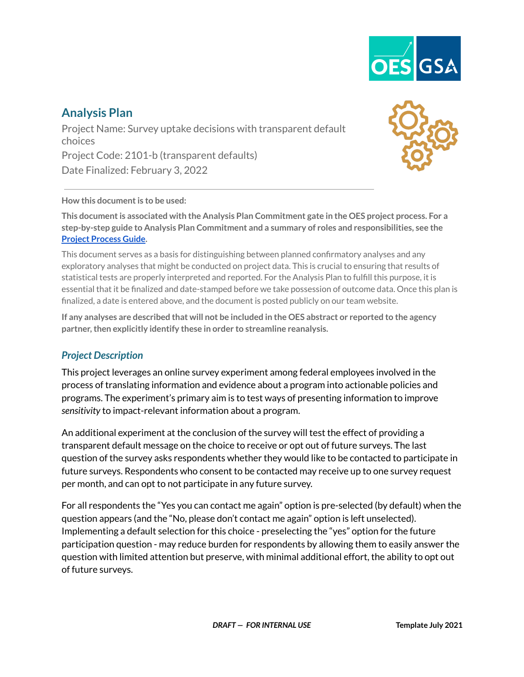

# **Analysis Plan**

Project Name: Survey uptake decisions with transparent default choices Project Code: 2101-b (transparent defaults) Date Finalized: February 3, 2022



#### **How this documentis to be used:**

**This documentis associated with the Analysis Plan Commitment gate in the OES project process. For a step-by-step guide to Analysis Plan Commitment and a summary of roles and responsibilities, see the Project [Process](https://drive.google.com/file/d/1a-NHSSIO8a38TPifAowNNQmTKS9_dcNf/view?usp=sharing) Guide.**

This document serves as a basis for distinguishing between planned confirmatory analyses and any exploratory analyses that might be conducted on project data. This is crucial to ensuring that results of statistical tests are properly interpreted and reported. For the Analysis Plan to fulfill this purpose, it is essential that it be finalized and date-stamped before we take possession of outcome data. Once this plan is finalized, a date is entered above, and the document is posted publicly on our team website.

If any analyses are described that will not be included in the OES abstract or reported to the agency **partner,then explicitly identify these in order to streamline reanalysis.**

### *Project Description*

This project leverages an online survey experiment among federal employees involved in the process of translating information and evidence about a program into actionable policies and programs. The experiment's primary aim is to test ways of presenting information to improve *sensitivity* to impact-relevant information about a program.

An additional experiment at the conclusion of the survey will test the effect of providing a transparent default message on the choice to receive or opt out of future surveys. The last question of the survey asks respondents whether they would like to be contacted to participate in future surveys. Respondents who consent to be contacted may receive up to one survey request per month, and can opt to not participate in any future survey.

For all respondents the "Yes you can contact me again" option is pre-selected (by default) when the question appears (and the "No, please don't contact me again" option is left unselected). Implementing a default selection for this choice - preselecting the "yes" option for the future participation question - may reduce burden for respondents by allowing them to easily answer the question with limited attention but preserve, with minimal additional effort, the ability to opt out of future surveys.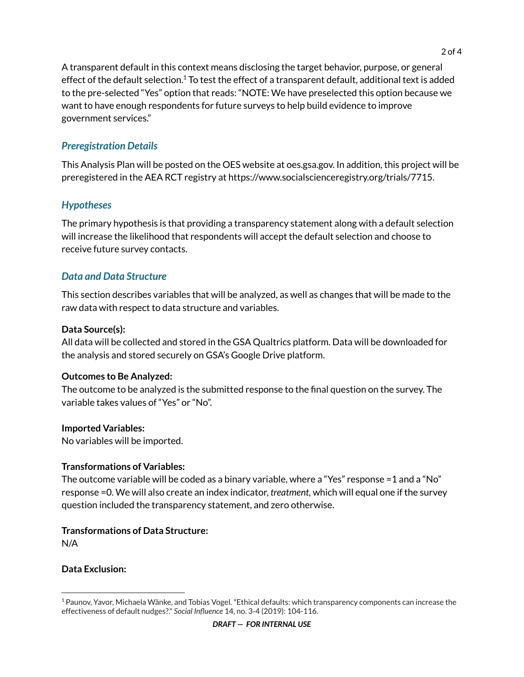A transparent default in this context means disclosing the target behavior, purpose, or general effect of the default selection.<sup>1</sup> To test the effect of a transparent default, additional text is added to the pre-selected "Yes" option that reads: "NOTE: We have preselected this option because we want to have enough respondents for future surveys to help build evidence to improve government services."

## *Preregistration Details*

This Analysis Plan will be posted on the OES website at oes.gsa.gov. In addition, this project will be preregistered in the AEA RCT registry at https://www.socialscienceregistry.org/trials/7715.

### *Hypotheses*

The primary hypothesis is that providing a transparency statement along with a default selection will increase the likelihood that respondents will accept the default selection and choose to receive future survey contacts.

## *Data and Data Structure*

This section describes variables that will be analyzed, as well as changes that will be made to the raw data with respect to data structure and variables.

#### **Data Source(s):**

All data will be collected and stored in the GSA Qualtrics platform. Data will be downloaded for the analysis and stored securely on GSA's Google Drive platform.

### **Outcomes to Be Analyzed:**

The outcome to be analyzed is the submitted response to the final question on the survey. The variable takes values of "Yes" or "No".

### **Imported Variables:**

No variables will be imported.

#### **Transformations of Variables:**

The outcome variable will be coded as a binary variable, where a "Yes" response =1 and a "No" response =0. We will also create an index indicator, *treatment,* which will equal one if the survey question included the transparency statement, and zero otherwise.

### **Transformations of Data Structure:**

N/A

### **Data Exclusion:**

<sup>1</sup> Paunov, Yavor, Michaela Wänke, and Tobias Vogel."Ethical defaults: which transparency components can increase the effectiveness of default nudges?." *Social Influence* 14, no. 3-4 (2019): 104-116.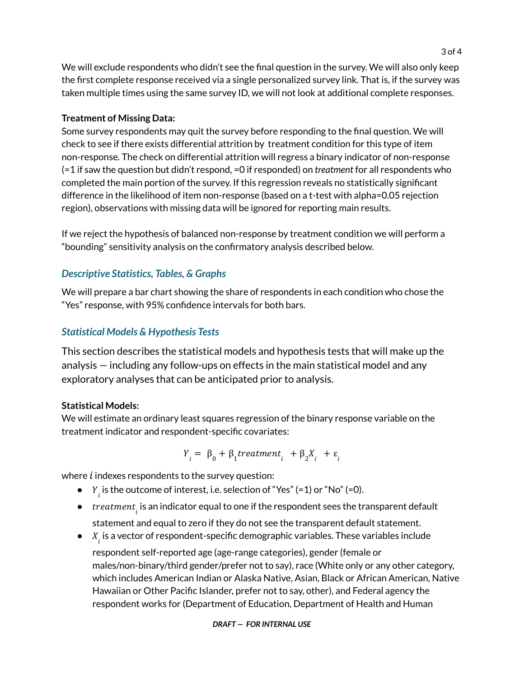We will exclude respondents who didn't see the final question in the survey. We will also only keep the first complete response received via a single personalized survey link. That is, if the survey was taken multiple times using the same survey ID, we will not look at additional complete responses.

#### **Treatment of Missing Data:**

Some survey respondents may quit the survey before responding to the final question. We will check to see if there exists differential attrition by treatment condition for this type of item non-response*.* The check on differential attrition will regress a binary indicator of non-response (=1 if saw the question but didn't respond, =0 if responded) on *treatment* for all respondents who completed the main portion of the survey. If this regression reveals no statistically significant difference in the likelihood of item non-response (based on a t-test with alpha=0.05 rejection region), observations with missing data will be ignored for reporting main results.

If we reject the hypothesis of balanced non-response by treatment condition we will perform a "bounding" sensitivity analysis on the confirmatory analysis described below.

## *Descriptive Statistics, Tables, & Graphs*

We will prepare a bar chart showing the share of respondents in each condition who chose the "Yes" response, with 95% confidence intervals for both bars.

## *Statistical Models & Hypothesis Tests*

This section describes the statistical models and hypothesis tests that will make up the analysis — including any follow-ups on effects in the main statistical model and any exploratory analyses that can be anticipated prior to analysis.

### **Statistical Models:**

We will estimate an ordinary least squares regression of the binary response variable on the treatment indicator and respondent-specific covariates:

$$
Y_i = \beta_0 + \beta_1 treatment_i + \beta_2 X_i + \varepsilon_i
$$

where  $i$  indexes respondents to the survey question:

- $\bullet$   $\quad$   $\,Y_{i}$  is the outcome of interest, i.e. selection of "Yes" (=1) or "No" (=0).
- $\bullet \quad treatment_{i \atop l}$  is an indicator equal to one if the respondent sees the transparent default statement and equal to zero if they do not see the transparent default statement.
- $\bullet$   $\quad$   $X_{i}$  is a vector of respondent-specific demographic variables. These variables include

respondent self-reported age (age-range categories), gender (female or males/non-binary/third gender/prefer not to say), race (White only or any other category, which includes American Indian or Alaska Native, Asian, Black or African American, Native Hawaiian or Other Pacific Islander, prefer not to say, other), and Federal agency the respondent works for (Department of Education, Department of Health and Human

#### *DRAFT — FOR INTERNAL USE*